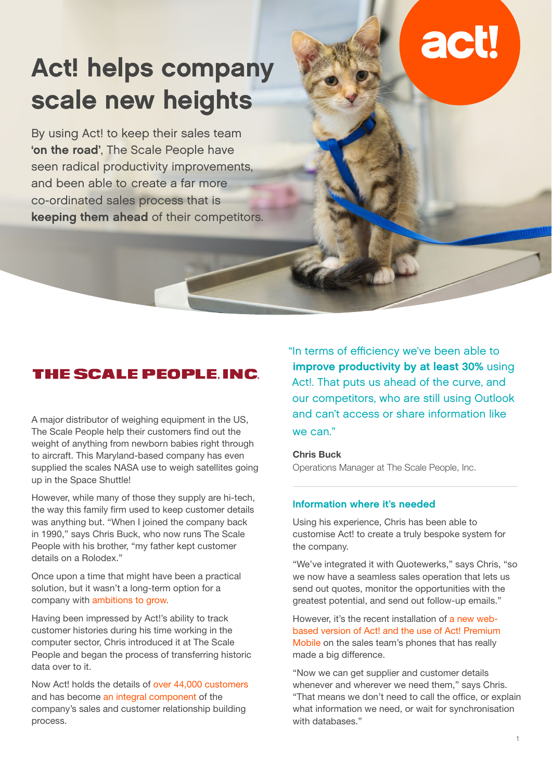# Act! helps company scale new heights

By using Act! to keep their sales team 'on the road', The Scale People have seen radical productivity improvements, and been able to create a far more co-ordinated sales process that is keeping them ahead of their competitors.

### **THE SCALE PEOPLE INC**

A major distributor of weighing equipment in the US, The Scale People help their customers find out the weight of anything from newborn babies right through to aircraft. This Maryland-based company has even supplied the scales NASA use to weigh satellites going up in the Space Shuttle!

However, while many of those they supply are hi-tech, the way this family firm used to keep customer details was anything but. "When I joined the company back in 1990," says Chris Buck, who now runs The Scale People with his brother, "my father kept customer details on a Rolodex."

Once upon a time that might have been a practical solution, but it wasn't a long-term option for a company with ambitions to grow.

Having been impressed by Act!'s ability to track customer histories during his time working in the computer sector, Chris introduced it at The Scale People and began the process of transferring historic data over to it.

Now Act! holds the details of over 44,000 customers and has become an integral component of the company's sales and customer relationship building process.

"In terms of efficiency we've been able to improve productivity by at least 30% using Act!. That puts us ahead of the curve, and our competitors, who are still using Outlook and can't access or share information like we can."

**Chris Buck**

Operations Manager at The Scale People, Inc.

#### Information where it's needed

Using his experience, Chris has been able to customise Act! to create a truly bespoke system for the company.

"We've integrated it with Quotewerks," says Chris, "so we now have a seamless sales operation that lets us send out quotes, monitor the opportunities with the greatest potential, and send out follow-up emails."

However, it's the recent installation of a new webbased version of Act! and the use of Act! Premium Mobile on the sales team's phones that has really made a big difference.

"Now we can get supplier and customer details whenever and wherever we need them," says Chris. "That means we don't need to call the office, or explain what information we need, or wait for synchronisation with databases."